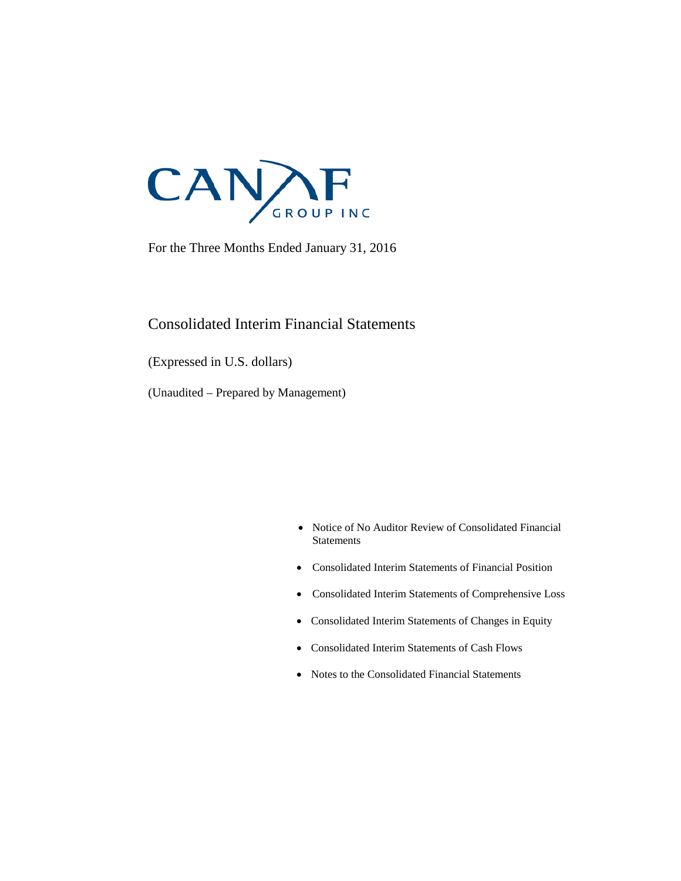

For the Three Months Ended January 31, 2016

### Consolidated Interim Financial Statements

(Expressed in U.S. dollars)

(Unaudited – Prepared by Management)

- Notice of No Auditor Review of Consolidated Financial **Statements**
- Consolidated Interim Statements of Financial Position
- Consolidated Interim Statements of Comprehensive Loss
- Consolidated Interim Statements of Changes in Equity
- Consolidated Interim Statements of Cash Flows
- Notes to the Consolidated Financial Statements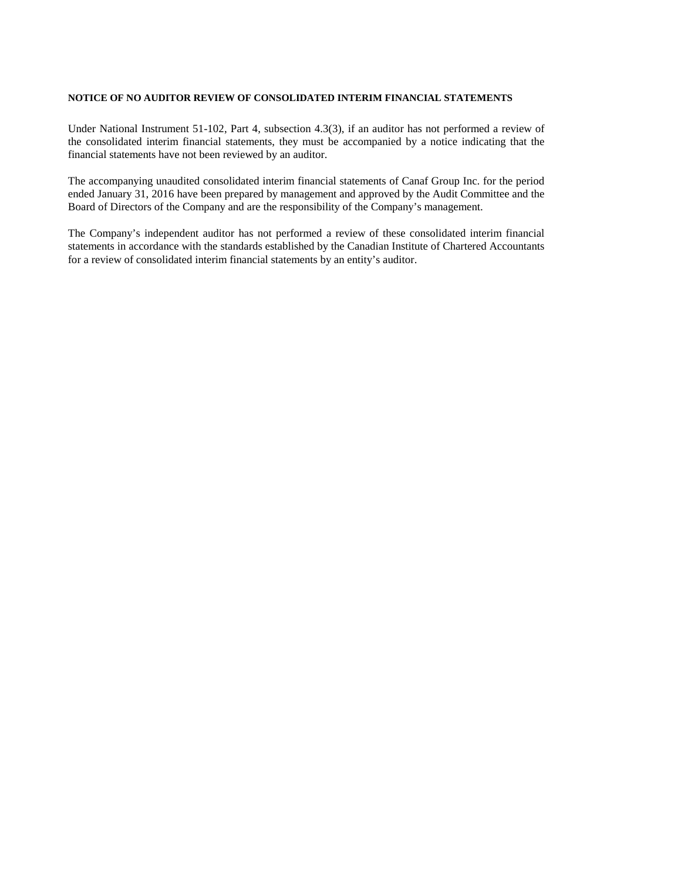#### **NOTICE OF NO AUDITOR REVIEW OF CONSOLIDATED INTERIM FINANCIAL STATEMENTS**

Under National Instrument 51-102, Part 4, subsection 4.3(3), if an auditor has not performed a review of the consolidated interim financial statements, they must be accompanied by a notice indicating that the financial statements have not been reviewed by an auditor.

The accompanying unaudited consolidated interim financial statements of Canaf Group Inc. for the period ended January 31, 2016 have been prepared by management and approved by the Audit Committee and the Board of Directors of the Company and are the responsibility of the Company's management.

The Company's independent auditor has not performed a review of these consolidated interim financial statements in accordance with the standards established by the Canadian Institute of Chartered Accountants for a review of consolidated interim financial statements by an entity's auditor.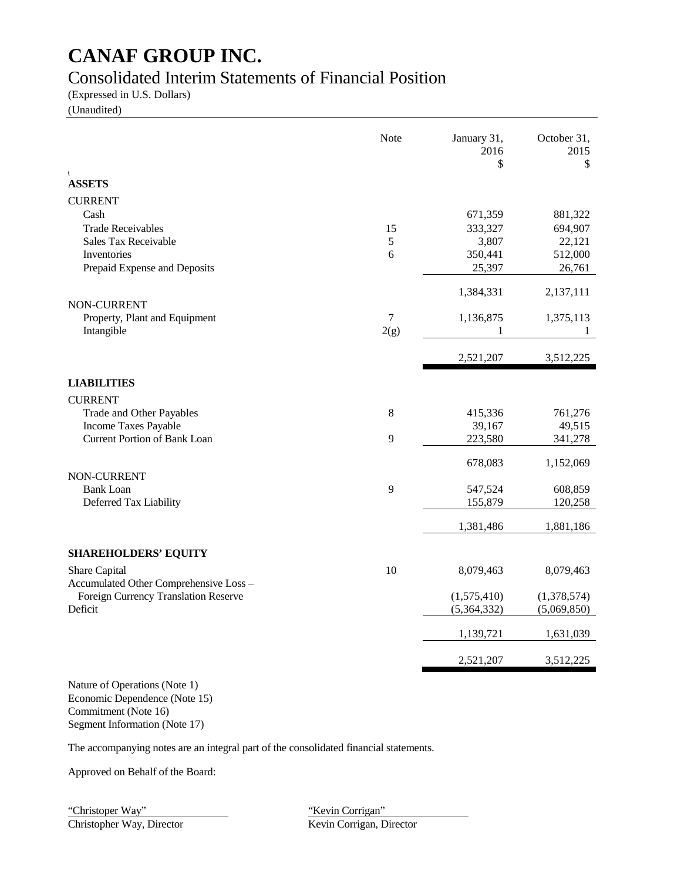### Consolidated Interim Statements of Financial Position

(Expressed in U.S. Dollars)

(Unaudited)

|                                        | Note  | January 31,<br>2016<br>\$ | October 31,<br>2015<br>\$ |
|----------------------------------------|-------|---------------------------|---------------------------|
| $\sqrt{2}$<br><b>ASSETS</b>            |       |                           |                           |
| <b>CURRENT</b>                         |       |                           |                           |
| Cash                                   |       | 671,359                   | 881,322                   |
| <b>Trade Receivables</b>               | 15    | 333,327                   | 694,907                   |
| Sales Tax Receivable                   | 5     | 3,807                     | 22,121                    |
| Inventories                            | 6     | 350,441                   | 512,000                   |
| Prepaid Expense and Deposits           |       | 25,397                    | 26,761                    |
|                                        |       | 1,384,331                 | 2,137,111                 |
| NON-CURRENT                            |       |                           |                           |
| Property, Plant and Equipment          | 7     | 1,136,875                 | 1,375,113                 |
| Intangible                             | 2(g)  | 1                         | 1                         |
|                                        |       | 2,521,207                 | 3,512,225                 |
| <b>LIABILITIES</b>                     |       |                           |                           |
| <b>CURRENT</b>                         |       |                           |                           |
| Trade and Other Payables               | $\,8$ | 415,336                   | 761,276                   |
| Income Taxes Payable                   |       | 39,167                    | 49,515                    |
| <b>Current Portion of Bank Loan</b>    | 9     | 223,580                   | 341,278                   |
|                                        |       | 678,083                   | 1,152,069                 |
| NON-CURRENT                            |       |                           |                           |
| <b>Bank Loan</b>                       | 9     | 547,524                   | 608,859                   |
| Deferred Tax Liability                 |       | 155,879                   | 120,258                   |
|                                        |       | 1,381,486                 | 1,881,186                 |
| <b>SHAREHOLDERS' EQUITY</b>            |       |                           |                           |
| Share Capital                          | 10    | 8,079,463                 | 8,079,463                 |
| Accumulated Other Comprehensive Loss - |       |                           |                           |
| Foreign Currency Translation Reserve   |       | (1,575,410)               | (1,378,574)               |
| Deficit                                |       | (5,364,332)               | (5,069,850)               |
|                                        |       | 1,139,721                 | 1,631,039                 |
|                                        |       | 2,521,207                 | 3,512,225                 |
|                                        |       |                           |                           |

Nature of Operations (Note 1) Economic Dependence (Note 15) Commitment (Note 16) Segment Information (Note 17)

The accompanying notes are an integral part of the consolidated financial statements.

Approved on Behalf of the Board:

"Christoper Way" "Kevin Corrigan"<br>
Christopher Way, Director "Kevin Corrigan, Director" Christopher Way, Director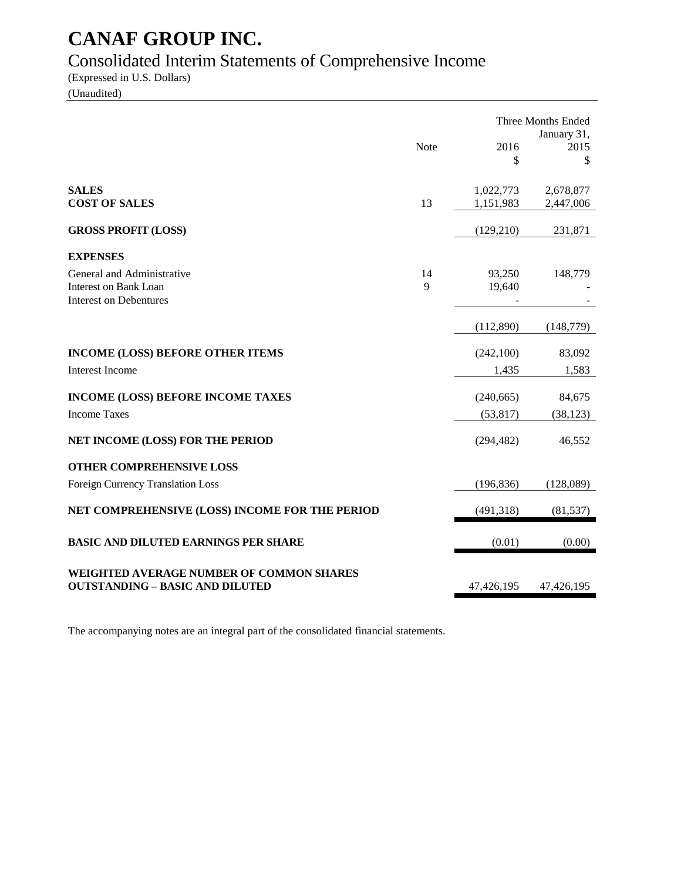## Consolidated Interim Statements of Comprehensive Income

(Expressed in U.S. Dollars)

(Unaudited)

|                                                                                                         |                    |                         | Three Months Ended<br>January 31, |
|---------------------------------------------------------------------------------------------------------|--------------------|-------------------------|-----------------------------------|
|                                                                                                         | Note               | 2016<br>\$              | 2015<br>\$                        |
| <b>SALES</b><br><b>COST OF SALES</b>                                                                    | 13                 | 1,022,773<br>1,151,983  | 2,678,877<br>2,447,006            |
| <b>GROSS PROFIT (LOSS)</b>                                                                              |                    | (129, 210)              | 231,871                           |
|                                                                                                         |                    |                         |                                   |
| <b>EXPENSES</b><br>General and Administrative<br>Interest on Bank Loan<br><b>Interest on Debentures</b> | 14<br>$\mathbf{Q}$ | 93,250<br>19,640        | 148,779                           |
|                                                                                                         |                    | (112,890)               | (148, 779)                        |
| <b>INCOME (LOSS) BEFORE OTHER ITEMS</b><br><b>Interest Income</b>                                       |                    | (242,100)<br>1,435      | 83,092<br>1,583                   |
|                                                                                                         |                    |                         |                                   |
| <b>INCOME (LOSS) BEFORE INCOME TAXES</b><br><b>Income Taxes</b>                                         |                    | (240, 665)<br>(53, 817) | 84,675<br>(38, 123)               |
| NET INCOME (LOSS) FOR THE PERIOD                                                                        |                    | (294, 482)              | 46,552                            |
| <b>OTHER COMPREHENSIVE LOSS</b>                                                                         |                    |                         |                                   |
| Foreign Currency Translation Loss                                                                       |                    | (196, 836)              | (128,089)                         |
| NET COMPREHENSIVE (LOSS) INCOME FOR THE PERIOD                                                          |                    | (491, 318)              | (81, 537)                         |
| <b>BASIC AND DILUTED EARNINGS PER SHARE</b>                                                             |                    | (0.01)                  | (0.00)                            |
| WEIGHTED AVERAGE NUMBER OF COMMON SHARES<br><b>OUTSTANDING - BASIC AND DILUTED</b>                      |                    | 47,426,195              | 47,426,195                        |

The accompanying notes are an integral part of the consolidated financial statements.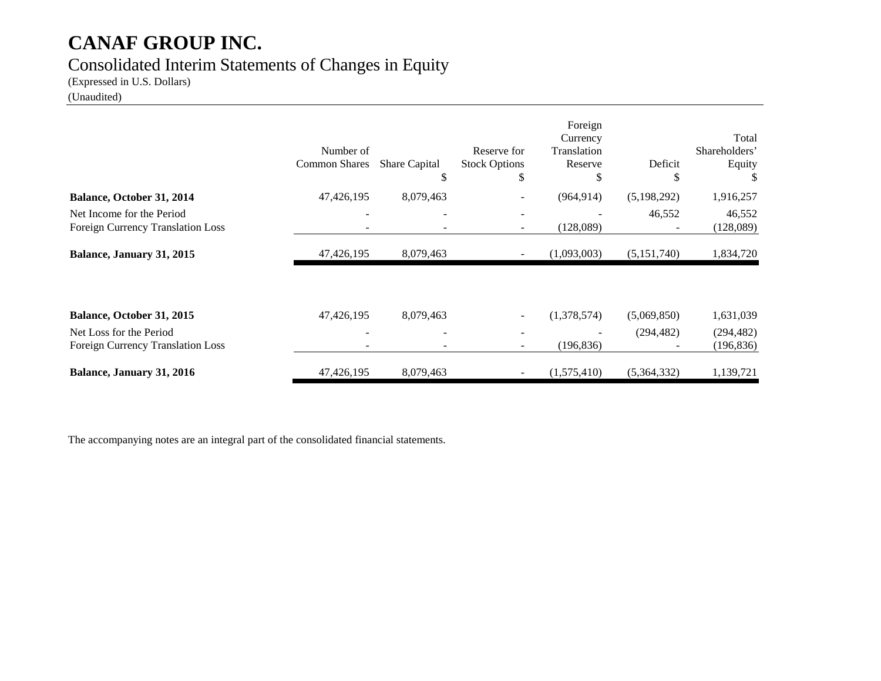### Consolidated Interim Statements of Changes in Equity

(Expressed in U.S. Dollars)

(Unaudited)

|                                                                | Number of<br><b>Common Shares</b>                    | <b>Share Capital</b><br>S | Reserve for<br><b>Stock Options</b><br>S | Foreign<br>Currency<br>Translation<br>Reserve<br>S | Deficit<br>S | Total<br>Shareholders'<br>Equity |
|----------------------------------------------------------------|------------------------------------------------------|---------------------------|------------------------------------------|----------------------------------------------------|--------------|----------------------------------|
| Balance, October 31, 2014                                      | 47,426,195                                           | 8,079,463                 |                                          | (964, 914)                                         | (5,198,292)  | 1,916,257                        |
| Net Income for the Period<br>Foreign Currency Translation Loss | $\overline{\phantom{0}}$<br>$\overline{\phantom{0}}$ | $\overline{\phantom{a}}$  |                                          | (128,089)                                          | 46,552       | 46,552<br>(128,089)              |
| Balance, January 31, 2015                                      | 47,426,195                                           | 8,079,463                 |                                          | (1,093,003)                                        | (5,151,740)  | 1,834,720                        |
|                                                                |                                                      |                           |                                          |                                                    |              |                                  |
| Balance, October 31, 2015                                      | 47,426,195                                           | 8,079,463                 |                                          | (1,378,574)                                        | (5,069,850)  | 1,631,039                        |
| Net Loss for the Period<br>Foreign Currency Translation Loss   |                                                      |                           |                                          | (196, 836)                                         | (294, 482)   | (294, 482)<br>(196, 836)         |
| Balance, January 31, 2016                                      | 47,426,195                                           | 8,079,463                 |                                          | (1,575,410)                                        | (5,364,332)  | 1,139,721                        |

The accompanying notes are an integral part of the consolidated financial statements.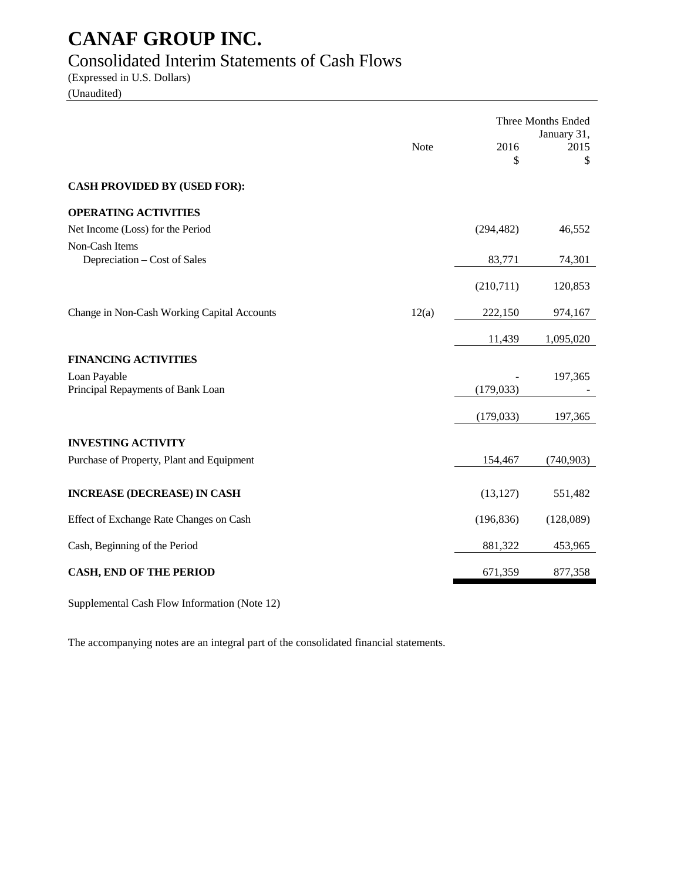### Consolidated Interim Statements of Cash Flows

(Expressed in U.S. Dollars) (Unaudited)

|                                                   |       |            | Three Months Ended<br>January 31, |
|---------------------------------------------------|-------|------------|-----------------------------------|
|                                                   | Note  | 2016<br>\$ | 2015<br>\$                        |
| <b>CASH PROVIDED BY (USED FOR):</b>               |       |            |                                   |
| <b>OPERATING ACTIVITIES</b>                       |       |            |                                   |
| Net Income (Loss) for the Period                  |       | (294, 482) | 46,552                            |
| Non-Cash Items<br>Depreciation - Cost of Sales    |       | 83,771     | 74,301                            |
|                                                   |       | (210,711)  | 120,853                           |
| Change in Non-Cash Working Capital Accounts       | 12(a) | 222,150    | 974,167                           |
|                                                   |       | 11,439     | 1,095,020                         |
| <b>FINANCING ACTIVITIES</b>                       |       |            |                                   |
| Loan Payable<br>Principal Repayments of Bank Loan |       | (179, 033) | 197,365                           |
|                                                   |       | (179, 033) | 197,365                           |
| <b>INVESTING ACTIVITY</b>                         |       |            |                                   |
| Purchase of Property, Plant and Equipment         |       | 154,467    | (740, 903)                        |
| <b>INCREASE (DECREASE) IN CASH</b>                |       | (13, 127)  | 551,482                           |
| Effect of Exchange Rate Changes on Cash           |       | (196, 836) | (128,089)                         |
| Cash, Beginning of the Period                     |       | 881,322    | 453,965                           |
| <b>CASH, END OF THE PERIOD</b>                    |       | 671,359    | 877,358                           |

Supplemental Cash Flow Information (Note 12)

The accompanying notes are an integral part of the consolidated financial statements.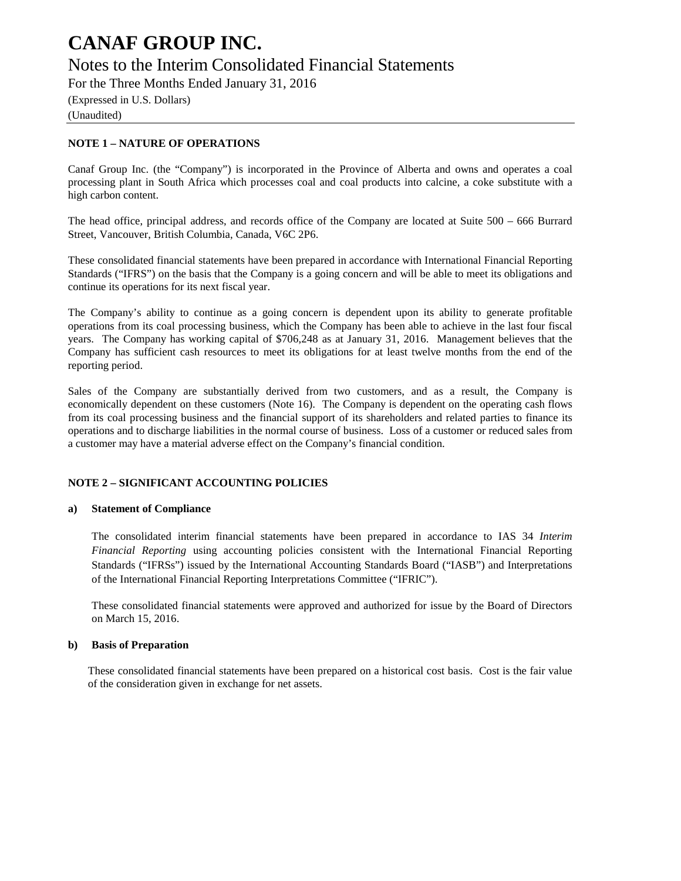### Notes to the Interim Consolidated Financial Statements

For the Three Months Ended January 31, 2016

(Expressed in U.S. Dollars) (Unaudited)

#### **NOTE 1 – NATURE OF OPERATIONS**

Canaf Group Inc. (the "Company") is incorporated in the Province of Alberta and owns and operates a coal processing plant in South Africa which processes coal and coal products into calcine, a coke substitute with a high carbon content.

The head office, principal address, and records office of the Company are located at Suite 500 – 666 Burrard Street, Vancouver, British Columbia, Canada, V6C 2P6.

These consolidated financial statements have been prepared in accordance with International Financial Reporting Standards ("IFRS") on the basis that the Company is a going concern and will be able to meet its obligations and continue its operations for its next fiscal year.

The Company's ability to continue as a going concern is dependent upon its ability to generate profitable operations from its coal processing business, which the Company has been able to achieve in the last four fiscal years. The Company has working capital of \$706,248 as at January 31, 2016. Management believes that the Company has sufficient cash resources to meet its obligations for at least twelve months from the end of the reporting period.

Sales of the Company are substantially derived from two customers, and as a result, the Company is economically dependent on these customers (Note 16). The Company is dependent on the operating cash flows from its coal processing business and the financial support of its shareholders and related parties to finance its operations and to discharge liabilities in the normal course of business. Loss of a customer or reduced sales from a customer may have a material adverse effect on the Company's financial condition.

#### **NOTE 2 – SIGNIFICANT ACCOUNTING POLICIES**

#### **a) Statement of Compliance**

The consolidated interim financial statements have been prepared in accordance to IAS 34 *Interim Financial Reporting* using accounting policies consistent with the International Financial Reporting Standards ("IFRSs") issued by the International Accounting Standards Board ("IASB") and Interpretations of the International Financial Reporting Interpretations Committee ("IFRIC").

These consolidated financial statements were approved and authorized for issue by the Board of Directors on March 15, 2016.

#### **b) Basis of Preparation**

These consolidated financial statements have been prepared on a historical cost basis. Cost is the fair value of the consideration given in exchange for net assets.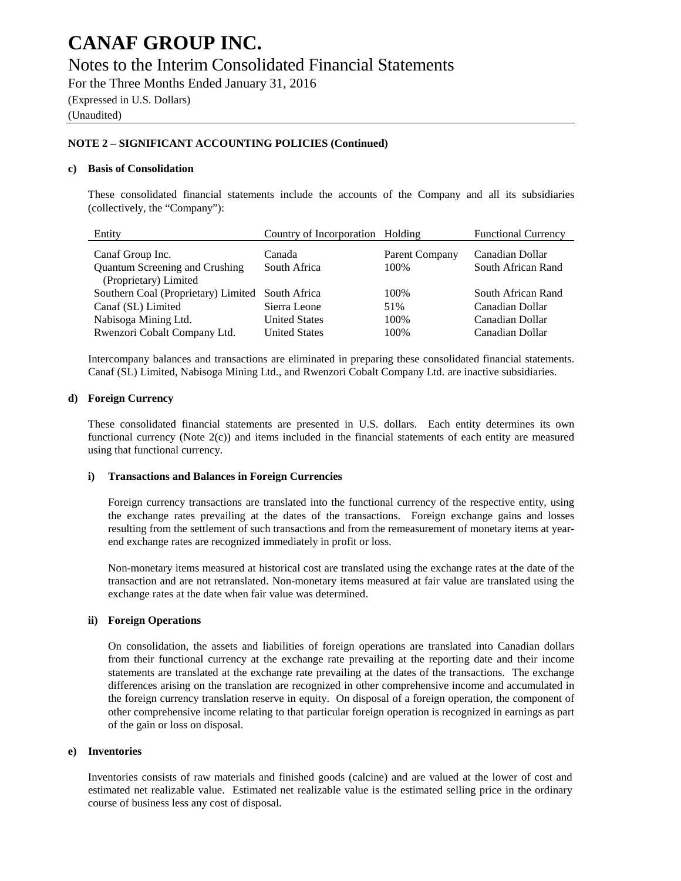### Notes to the Interim Consolidated Financial Statements

For the Three Months Ended January 31, 2016

(Expressed in U.S. Dollars)

(Unaudited)

#### **NOTE 2 – SIGNIFICANT ACCOUNTING POLICIES (Continued)**

#### **c) Basis of Consolidation**

These consolidated financial statements include the accounts of the Company and all its subsidiaries (collectively, the "Company"):

| Entity                                | Country of Incorporation Holding |                | <b>Functional Currency</b> |
|---------------------------------------|----------------------------------|----------------|----------------------------|
| Canaf Group Inc.                      | Canada                           | Parent Company | Canadian Dollar            |
| <b>Quantum Screening and Crushing</b> | South Africa                     | 100\%          | South African Rand         |
| (Proprietary) Limited                 |                                  |                |                            |
| Southern Coal (Proprietary) Limited   | South Africa                     | 100\%          | South African Rand         |
| Canaf (SL) Limited                    | Sierra Leone                     | 51%            | Canadian Dollar            |
| Nabisoga Mining Ltd.                  | <b>United States</b>             | 100\%          | Canadian Dollar            |
| Rwenzori Cobalt Company Ltd.          | <b>United States</b>             | 100\%          | Canadian Dollar            |

Intercompany balances and transactions are eliminated in preparing these consolidated financial statements. Canaf (SL) Limited, Nabisoga Mining Ltd., and Rwenzori Cobalt Company Ltd. are inactive subsidiaries.

#### **d) Foreign Currency**

These consolidated financial statements are presented in U.S. dollars. Each entity determines its own functional currency (Note 2(c)) and items included in the financial statements of each entity are measured using that functional currency.

#### **i) Transactions and Balances in Foreign Currencies**

Foreign currency transactions are translated into the functional currency of the respective entity, using the exchange rates prevailing at the dates of the transactions. Foreign exchange gains and losses resulting from the settlement of such transactions and from the remeasurement of monetary items at yearend exchange rates are recognized immediately in profit or loss.

Non-monetary items measured at historical cost are translated using the exchange rates at the date of the transaction and are not retranslated. Non-monetary items measured at fair value are translated using the exchange rates at the date when fair value was determined.

#### **ii) Foreign Operations**

On consolidation, the assets and liabilities of foreign operations are translated into Canadian dollars from their functional currency at the exchange rate prevailing at the reporting date and their income statements are translated at the exchange rate prevailing at the dates of the transactions. The exchange differences arising on the translation are recognized in other comprehensive income and accumulated in the foreign currency translation reserve in equity. On disposal of a foreign operation, the component of other comprehensive income relating to that particular foreign operation is recognized in earnings as part of the gain or loss on disposal.

#### **e) Inventories**

Inventories consists of raw materials and finished goods (calcine) and are valued at the lower of cost and estimated net realizable value. Estimated net realizable value is the estimated selling price in the ordinary course of business less any cost of disposal.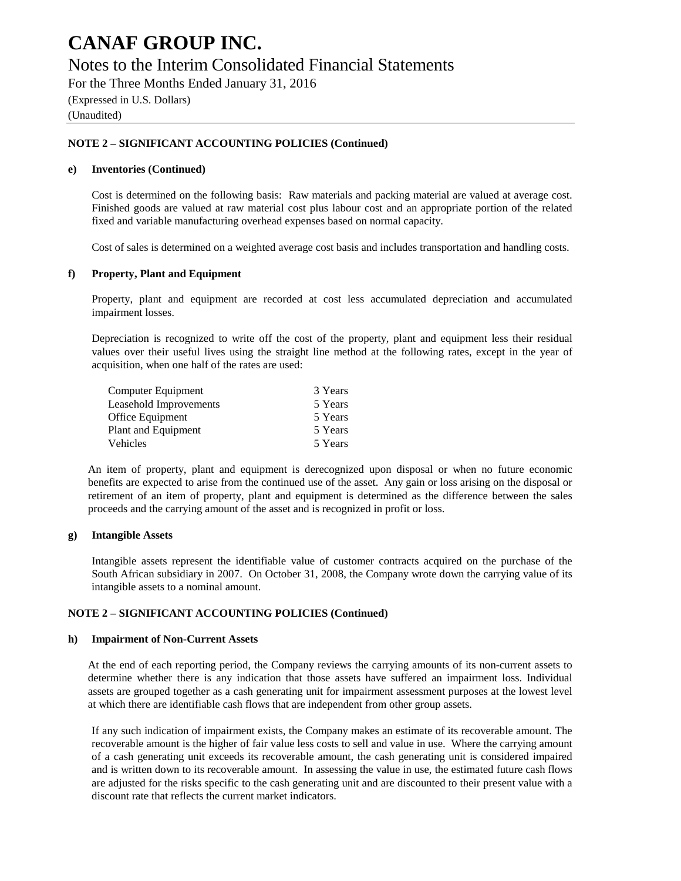### Notes to the Interim Consolidated Financial Statements

For the Three Months Ended January 31, 2016

(Expressed in U.S. Dollars)

(Unaudited)

#### **NOTE 2 – SIGNIFICANT ACCOUNTING POLICIES (Continued)**

#### **e) Inventories (Continued)**

Cost is determined on the following basis: Raw materials and packing material are valued at average cost. Finished goods are valued at raw material cost plus labour cost and an appropriate portion of the related fixed and variable manufacturing overhead expenses based on normal capacity.

Cost of sales is determined on a weighted average cost basis and includes transportation and handling costs.

#### **f) Property, Plant and Equipment**

Property, plant and equipment are recorded at cost less accumulated depreciation and accumulated impairment losses.

Depreciation is recognized to write off the cost of the property, plant and equipment less their residual values over their useful lives using the straight line method at the following rates, except in the year of acquisition, when one half of the rates are used:

| 3 Years |
|---------|
| 5 Years |
| 5 Years |
| 5 Years |
| 5 Years |
|         |

An item of property, plant and equipment is derecognized upon disposal or when no future economic benefits are expected to arise from the continued use of the asset. Any gain or loss arising on the disposal or retirement of an item of property, plant and equipment is determined as the difference between the sales proceeds and the carrying amount of the asset and is recognized in profit or loss.

#### **g) Intangible Assets**

Intangible assets represent the identifiable value of customer contracts acquired on the purchase of the South African subsidiary in 2007. On October 31, 2008, the Company wrote down the carrying value of its intangible assets to a nominal amount.

#### **NOTE 2 – SIGNIFICANT ACCOUNTING POLICIES (Continued)**

#### **h) Impairment of Non-Current Assets**

At the end of each reporting period, the Company reviews the carrying amounts of its non-current assets to determine whether there is any indication that those assets have suffered an impairment loss. Individual assets are grouped together as a cash generating unit for impairment assessment purposes at the lowest level at which there are identifiable cash flows that are independent from other group assets.

If any such indication of impairment exists, the Company makes an estimate of its recoverable amount. The recoverable amount is the higher of fair value less costs to sell and value in use. Where the carrying amount of a cash generating unit exceeds its recoverable amount, the cash generating unit is considered impaired and is written down to its recoverable amount. In assessing the value in use, the estimated future cash flows are adjusted for the risks specific to the cash generating unit and are discounted to their present value with a discount rate that reflects the current market indicators.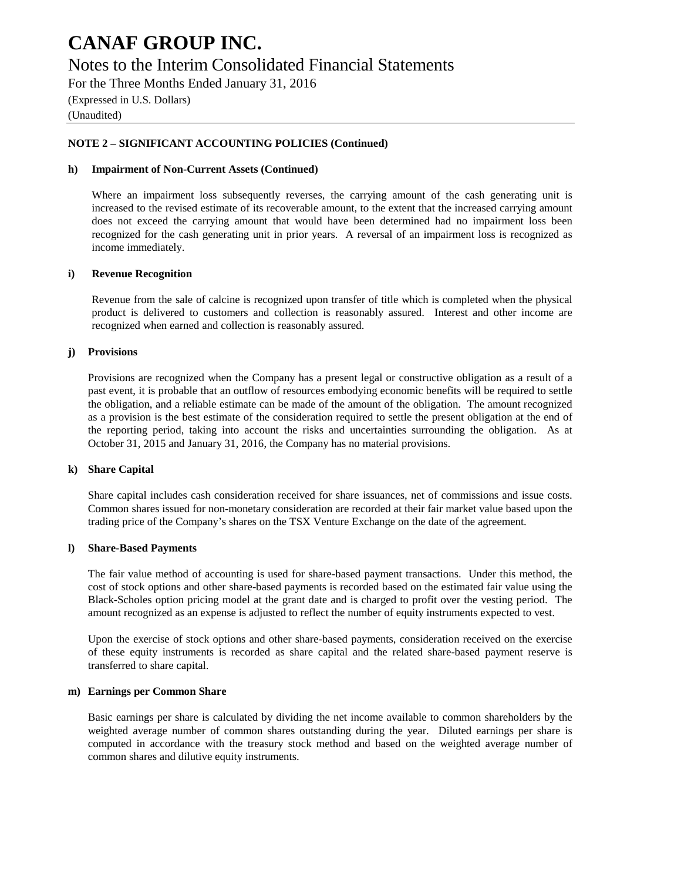### Notes to the Interim Consolidated Financial Statements

For the Three Months Ended January 31, 2016 (Expressed in U.S. Dollars)

(Unaudited)

#### **NOTE 2 – SIGNIFICANT ACCOUNTING POLICIES (Continued)**

#### **h) Impairment of Non-Current Assets (Continued)**

Where an impairment loss subsequently reverses, the carrying amount of the cash generating unit is increased to the revised estimate of its recoverable amount, to the extent that the increased carrying amount does not exceed the carrying amount that would have been determined had no impairment loss been recognized for the cash generating unit in prior years. A reversal of an impairment loss is recognized as income immediately.

#### **i) Revenue Recognition**

Revenue from the sale of calcine is recognized upon transfer of title which is completed when the physical product is delivered to customers and collection is reasonably assured. Interest and other income are recognized when earned and collection is reasonably assured.

#### **j) Provisions**

Provisions are recognized when the Company has a present legal or constructive obligation as a result of a past event, it is probable that an outflow of resources embodying economic benefits will be required to settle the obligation, and a reliable estimate can be made of the amount of the obligation. The amount recognized as a provision is the best estimate of the consideration required to settle the present obligation at the end of the reporting period, taking into account the risks and uncertainties surrounding the obligation. As at October 31, 2015 and January 31, 2016, the Company has no material provisions.

#### **k) Share Capital**

Share capital includes cash consideration received for share issuances, net of commissions and issue costs. Common shares issued for non-monetary consideration are recorded at their fair market value based upon the trading price of the Company's shares on the TSX Venture Exchange on the date of the agreement.

#### **l) Share-Based Payments**

The fair value method of accounting is used for share-based payment transactions. Under this method, the cost of stock options and other share-based payments is recorded based on the estimated fair value using the Black-Scholes option pricing model at the grant date and is charged to profit over the vesting period. The amount recognized as an expense is adjusted to reflect the number of equity instruments expected to vest.

Upon the exercise of stock options and other share-based payments, consideration received on the exercise of these equity instruments is recorded as share capital and the related share-based payment reserve is transferred to share capital.

#### **m) Earnings per Common Share**

Basic earnings per share is calculated by dividing the net income available to common shareholders by the weighted average number of common shares outstanding during the year. Diluted earnings per share is computed in accordance with the treasury stock method and based on the weighted average number of common shares and dilutive equity instruments.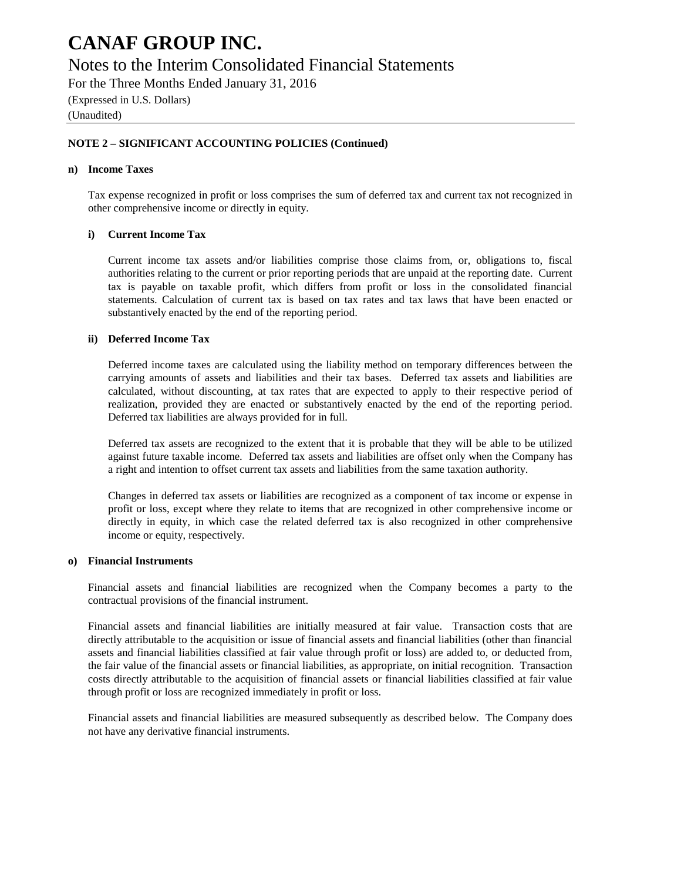### Notes to the Interim Consolidated Financial Statements

For the Three Months Ended January 31, 2016

(Expressed in U.S. Dollars)

(Unaudited)

#### **NOTE 2 – SIGNIFICANT ACCOUNTING POLICIES (Continued)**

#### **n) Income Taxes**

Tax expense recognized in profit or loss comprises the sum of deferred tax and current tax not recognized in other comprehensive income or directly in equity.

#### **i) Current Income Tax**

Current income tax assets and/or liabilities comprise those claims from, or, obligations to, fiscal authorities relating to the current or prior reporting periods that are unpaid at the reporting date. Current tax is payable on taxable profit, which differs from profit or loss in the consolidated financial statements. Calculation of current tax is based on tax rates and tax laws that have been enacted or substantively enacted by the end of the reporting period.

#### **ii) Deferred Income Tax**

Deferred income taxes are calculated using the liability method on temporary differences between the carrying amounts of assets and liabilities and their tax bases. Deferred tax assets and liabilities are calculated, without discounting, at tax rates that are expected to apply to their respective period of realization, provided they are enacted or substantively enacted by the end of the reporting period. Deferred tax liabilities are always provided for in full.

Deferred tax assets are recognized to the extent that it is probable that they will be able to be utilized against future taxable income. Deferred tax assets and liabilities are offset only when the Company has a right and intention to offset current tax assets and liabilities from the same taxation authority.

Changes in deferred tax assets or liabilities are recognized as a component of tax income or expense in profit or loss, except where they relate to items that are recognized in other comprehensive income or directly in equity, in which case the related deferred tax is also recognized in other comprehensive income or equity, respectively.

#### **o) Financial Instruments**

Financial assets and financial liabilities are recognized when the Company becomes a party to the contractual provisions of the financial instrument.

Financial assets and financial liabilities are initially measured at fair value. Transaction costs that are directly attributable to the acquisition or issue of financial assets and financial liabilities (other than financial assets and financial liabilities classified at fair value through profit or loss) are added to, or deducted from, the fair value of the financial assets or financial liabilities, as appropriate, on initial recognition. Transaction costs directly attributable to the acquisition of financial assets or financial liabilities classified at fair value through profit or loss are recognized immediately in profit or loss.

Financial assets and financial liabilities are measured subsequently as described below. The Company does not have any derivative financial instruments.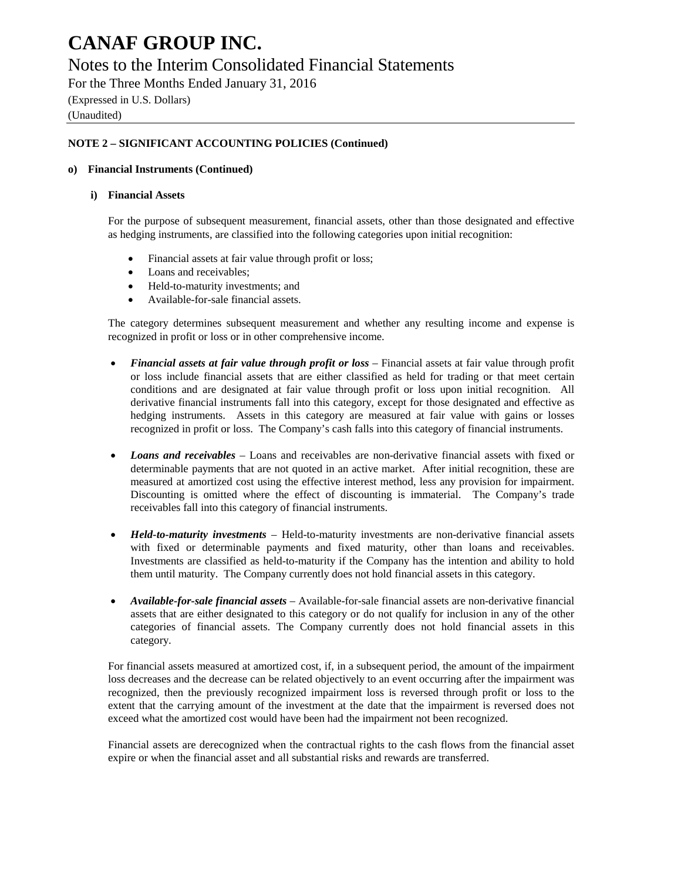### Notes to the Interim Consolidated Financial Statements

For the Three Months Ended January 31, 2016 (Expressed in U.S. Dollars)

(Unaudited)

#### **NOTE 2 – SIGNIFICANT ACCOUNTING POLICIES (Continued)**

#### **o) Financial Instruments (Continued)**

#### **i) Financial Assets**

For the purpose of subsequent measurement, financial assets, other than those designated and effective as hedging instruments, are classified into the following categories upon initial recognition:

- Financial assets at fair value through profit or loss;
- Loans and receivables;
- Held-to-maturity investments; and
- Available-for-sale financial assets.

The category determines subsequent measurement and whether any resulting income and expense is recognized in profit or loss or in other comprehensive income.

- *Financial assets at fair value through profit or loss* Financial assets at fair value through profit or loss include financial assets that are either classified as held for trading or that meet certain conditions and are designated at fair value through profit or loss upon initial recognition. All derivative financial instruments fall into this category, except for those designated and effective as hedging instruments. Assets in this category are measured at fair value with gains or losses recognized in profit or loss. The Company's cash falls into this category of financial instruments.
- *Loans and receivables* Loans and receivables are non-derivative financial assets with fixed or determinable payments that are not quoted in an active market. After initial recognition, these are measured at amortized cost using the effective interest method, less any provision for impairment. Discounting is omitted where the effect of discounting is immaterial. The Company's trade receivables fall into this category of financial instruments.
- *Held-to-maturity investments* Held-to-maturity investments are non-derivative financial assets with fixed or determinable payments and fixed maturity, other than loans and receivables. Investments are classified as held-to-maturity if the Company has the intention and ability to hold them until maturity. The Company currently does not hold financial assets in this category.
- *Available-for-sale financial assets* Available-for-sale financial assets are non-derivative financial assets that are either designated to this category or do not qualify for inclusion in any of the other categories of financial assets. The Company currently does not hold financial assets in this category.

For financial assets measured at amortized cost, if, in a subsequent period, the amount of the impairment loss decreases and the decrease can be related objectively to an event occurring after the impairment was recognized, then the previously recognized impairment loss is reversed through profit or loss to the extent that the carrying amount of the investment at the date that the impairment is reversed does not exceed what the amortized cost would have been had the impairment not been recognized.

Financial assets are derecognized when the contractual rights to the cash flows from the financial asset expire or when the financial asset and all substantial risks and rewards are transferred.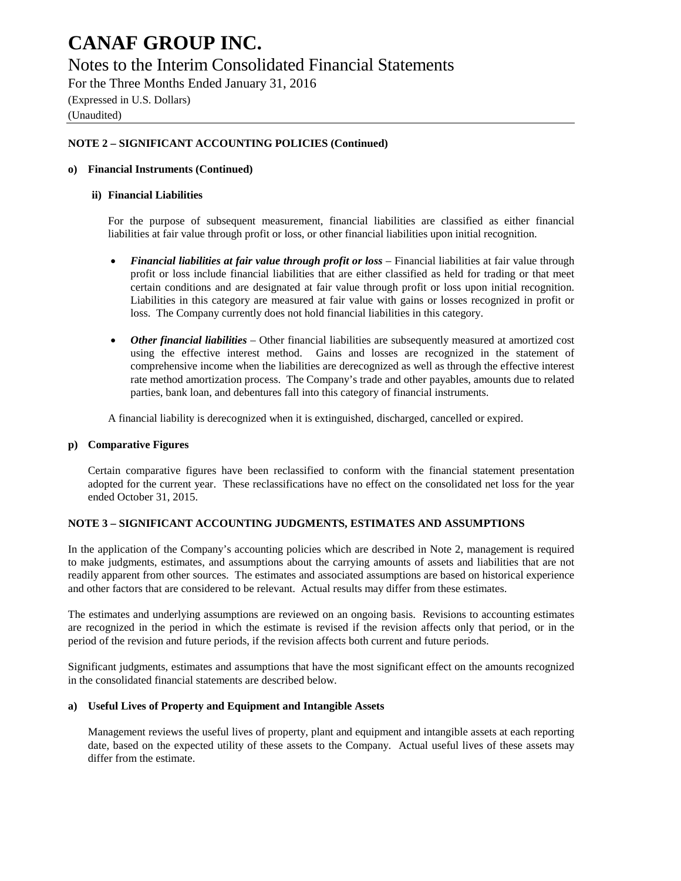### Notes to the Interim Consolidated Financial Statements

For the Three Months Ended January 31, 2016 (Expressed in U.S. Dollars)

#### (Unaudited)

#### **NOTE 2 – SIGNIFICANT ACCOUNTING POLICIES (Continued)**

#### **o) Financial Instruments (Continued)**

#### **ii) Financial Liabilities**

For the purpose of subsequent measurement, financial liabilities are classified as either financial liabilities at fair value through profit or loss, or other financial liabilities upon initial recognition.

- *Financial liabilities at fair value through profit or loss* Financial liabilities at fair value through profit or loss include financial liabilities that are either classified as held for trading or that meet certain conditions and are designated at fair value through profit or loss upon initial recognition. Liabilities in this category are measured at fair value with gains or losses recognized in profit or loss. The Company currently does not hold financial liabilities in this category.
- *Other financial liabilities*  Other financial liabilities are subsequently measured at amortized cost using the effective interest method. Gains and losses are recognized in the statement of comprehensive income when the liabilities are derecognized as well as through the effective interest rate method amortization process. The Company's trade and other payables, amounts due to related parties, bank loan, and debentures fall into this category of financial instruments.

A financial liability is derecognized when it is extinguished, discharged, cancelled or expired.

#### **p) Comparative Figures**

Certain comparative figures have been reclassified to conform with the financial statement presentation adopted for the current year. These reclassifications have no effect on the consolidated net loss for the year ended October 31, 2015.

#### **NOTE 3 – SIGNIFICANT ACCOUNTING JUDGMENTS, ESTIMATES AND ASSUMPTIONS**

In the application of the Company's accounting policies which are described in Note 2, management is required to make judgments, estimates, and assumptions about the carrying amounts of assets and liabilities that are not readily apparent from other sources. The estimates and associated assumptions are based on historical experience and other factors that are considered to be relevant. Actual results may differ from these estimates.

The estimates and underlying assumptions are reviewed on an ongoing basis. Revisions to accounting estimates are recognized in the period in which the estimate is revised if the revision affects only that period, or in the period of the revision and future periods, if the revision affects both current and future periods.

Significant judgments, estimates and assumptions that have the most significant effect on the amounts recognized in the consolidated financial statements are described below.

#### **a) Useful Lives of Property and Equipment and Intangible Assets**

Management reviews the useful lives of property, plant and equipment and intangible assets at each reporting date, based on the expected utility of these assets to the Company. Actual useful lives of these assets may differ from the estimate.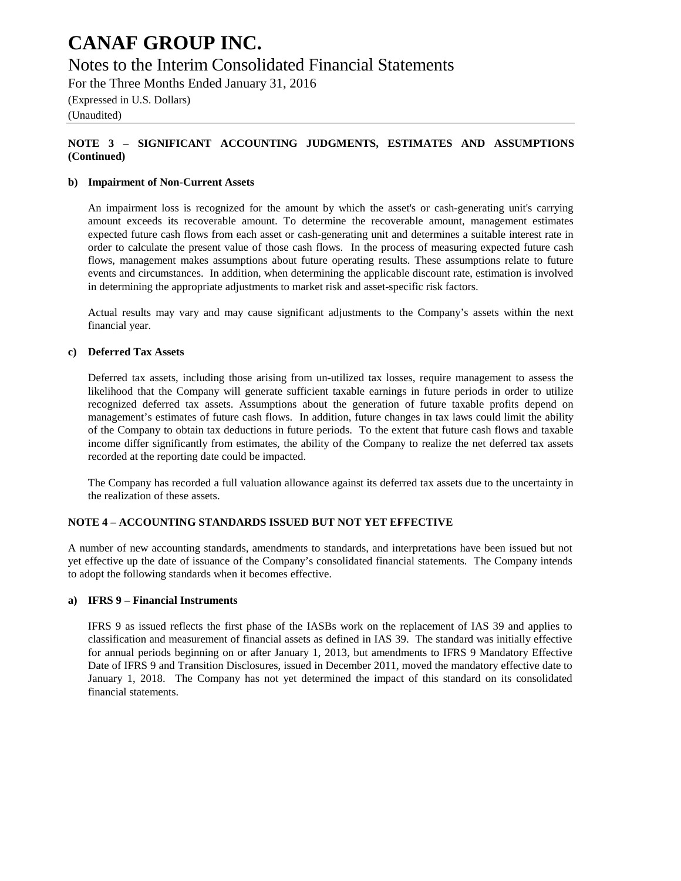### Notes to the Interim Consolidated Financial Statements

For the Three Months Ended January 31, 2016

(Expressed in U.S. Dollars)

(Unaudited)

#### **NOTE 3 – SIGNIFICANT ACCOUNTING JUDGMENTS, ESTIMATES AND ASSUMPTIONS (Continued)**

#### **b) Impairment of Non-Current Assets**

An impairment loss is recognized for the amount by which the asset's or cash-generating unit's carrying amount exceeds its recoverable amount. To determine the recoverable amount, management estimates expected future cash flows from each asset or cash-generating unit and determines a suitable interest rate in order to calculate the present value of those cash flows. In the process of measuring expected future cash flows, management makes assumptions about future operating results. These assumptions relate to future events and circumstances. In addition, when determining the applicable discount rate, estimation is involved in determining the appropriate adjustments to market risk and asset-specific risk factors.

Actual results may vary and may cause significant adjustments to the Company's assets within the next financial year.

#### **c) Deferred Tax Assets**

Deferred tax assets, including those arising from un-utilized tax losses, require management to assess the likelihood that the Company will generate sufficient taxable earnings in future periods in order to utilize recognized deferred tax assets. Assumptions about the generation of future taxable profits depend on management's estimates of future cash flows. In addition, future changes in tax laws could limit the ability of the Company to obtain tax deductions in future periods. To the extent that future cash flows and taxable income differ significantly from estimates, the ability of the Company to realize the net deferred tax assets recorded at the reporting date could be impacted.

The Company has recorded a full valuation allowance against its deferred tax assets due to the uncertainty in the realization of these assets.

#### **NOTE 4 – ACCOUNTING STANDARDS ISSUED BUT NOT YET EFFECTIVE**

A number of new accounting standards, amendments to standards, and interpretations have been issued but not yet effective up the date of issuance of the Company's consolidated financial statements. The Company intends to adopt the following standards when it becomes effective.

#### **a) IFRS 9 – Financial Instruments**

IFRS 9 as issued reflects the first phase of the IASBs work on the replacement of IAS 39 and applies to classification and measurement of financial assets as defined in IAS 39. The standard was initially effective for annual periods beginning on or after January 1, 2013, but amendments to IFRS 9 Mandatory Effective Date of IFRS 9 and Transition Disclosures, issued in December 2011, moved the mandatory effective date to January 1, 2018. The Company has not yet determined the impact of this standard on its consolidated financial statements.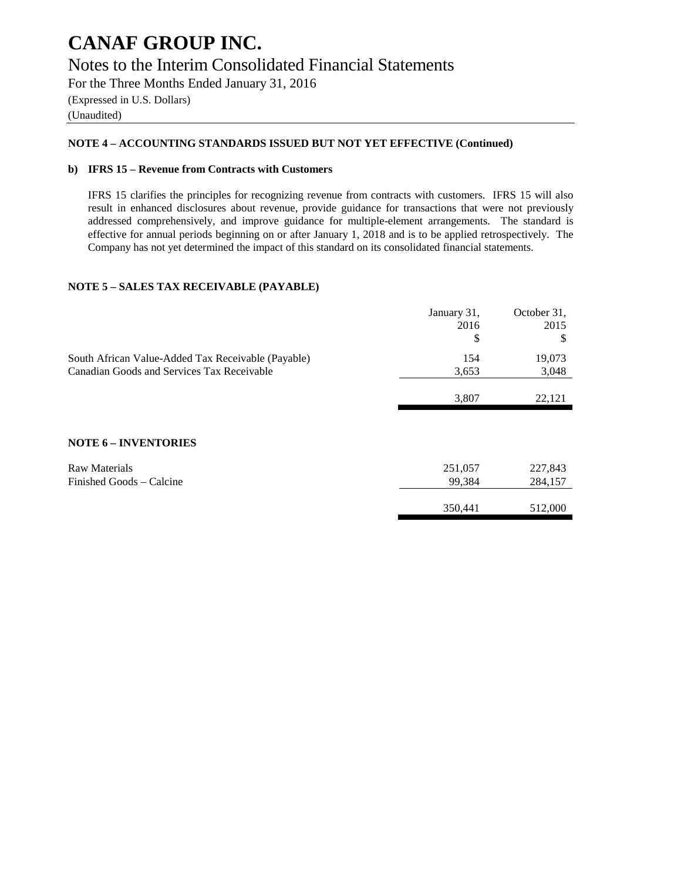### **CANAF GROUP INC.** Notes to the Interim Consolidated Financial Statements

For the Three Months Ended January 31, 2016 (Expressed in U.S. Dollars) (Unaudited)

#### **NOTE 4 – ACCOUNTING STANDARDS ISSUED BUT NOT YET EFFECTIVE (Continued)**

#### **b) IFRS 15 – Revenue from Contracts with Customers**

IFRS 15 clarifies the principles for recognizing revenue from contracts with customers. IFRS 15 will also result in enhanced disclosures about revenue, provide guidance for transactions that were not previously addressed comprehensively, and improve guidance for multiple-element arrangements. The standard is effective for annual periods beginning on or after January 1, 2018 and is to be applied retrospectively. The Company has not yet determined the impact of this standard on its consolidated financial statements.

#### **NOTE 5 – SALES TAX RECEIVABLE (PAYABLE)**

|                                                    | January 31,<br>2016<br>\$ | October 31,<br>2015<br>\$ |
|----------------------------------------------------|---------------------------|---------------------------|
| South African Value-Added Tax Receivable (Payable) | 154                       | 19,073                    |
| Canadian Goods and Services Tax Receivable         | 3,653                     | 3,048                     |
|                                                    | 3,807                     | 22,121                    |
|                                                    |                           |                           |
| <b>NOTE 6 - INVENTORIES</b>                        |                           |                           |
| <b>Raw Materials</b>                               | 251,057                   | 227,843                   |
| Finished Goods – Calcine                           | 99,384                    | 284,157                   |
|                                                    |                           |                           |
|                                                    | 350,441                   | 512,000                   |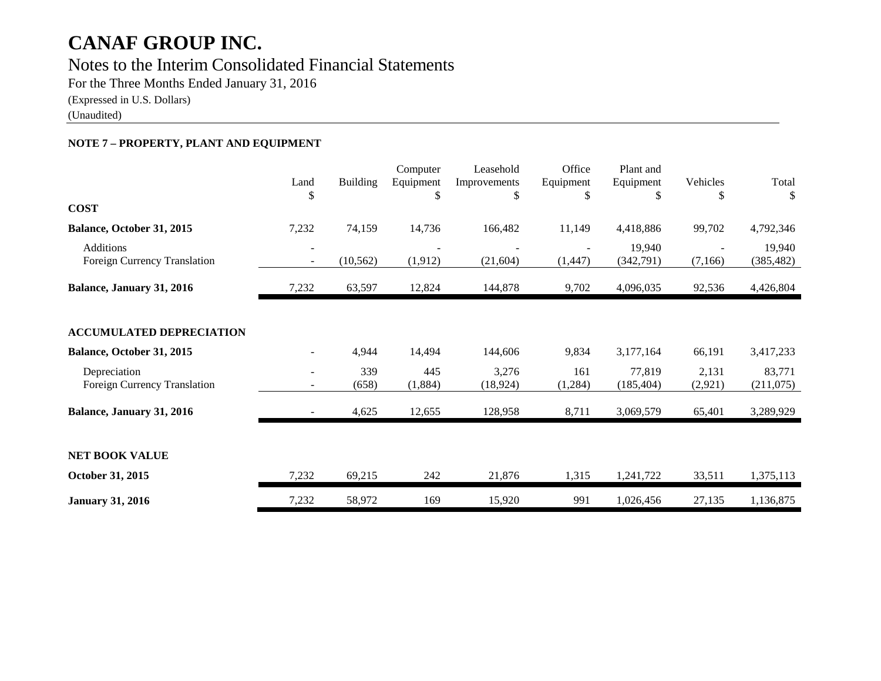### Notes to the Interim Consolidated Financial Statements

For the Three Months Ended January 31, 2016

(Expressed in U.S. Dollars)

(Unaudited)

#### **NOTE 7 – PROPERTY, PLANT AND EQUIPMENT**

| <b>COST</b>                                      | Land<br>\$               | <b>Building</b> | Computer<br>Equipment<br>S | Leasehold<br>Improvements<br>\$ | Office<br>Equipment<br>\$ | Plant and<br>Equipment<br>\$ | Vehicles<br>S     | Total<br>\$          |
|--------------------------------------------------|--------------------------|-----------------|----------------------------|---------------------------------|---------------------------|------------------------------|-------------------|----------------------|
|                                                  |                          |                 |                            |                                 |                           |                              |                   |                      |
| Balance, October 31, 2015                        | 7,232                    | 74,159          | 14,736                     | 166,482                         | 11,149                    | 4,418,886                    | 99,702            | 4,792,346            |
| <b>Additions</b><br>Foreign Currency Translation | $\overline{\phantom{a}}$ | (10, 562)       | (1, 912)                   | (21, 604)                       | (1,447)                   | 19,940<br>(342,791)          | (7,166)           | 19,940<br>(385, 482) |
| Balance, January 31, 2016                        | 7,232                    | 63,597          | 12,824                     | 144,878                         | 9,702                     | 4,096,035                    | 92,536            | 4,426,804            |
| <b>ACCUMULATED DEPRECIATION</b>                  |                          |                 |                            |                                 |                           |                              |                   |                      |
| Balance, October 31, 2015                        |                          | 4,944           | 14,494                     | 144,606                         | 9,834                     | 3,177,164                    | 66,191            | 3,417,233            |
| Depreciation<br>Foreign Currency Translation     |                          | 339<br>(658)    | 445<br>(1,884)             | 3,276<br>(18, 924)              | 161<br>(1,284)            | 77,819<br>(185, 404)         | 2,131<br>(2, 921) | 83,771<br>(211, 075) |
| Balance, January 31, 2016                        |                          | 4,625           | 12,655                     | 128,958                         | 8,711                     | 3,069,579                    | 65,401            | 3,289,929            |
| <b>NET BOOK VALUE</b><br>October 31, 2015        | 7,232                    | 69,215          | 242                        | 21,876                          | 1,315                     | 1,241,722                    | 33,511            |                      |
|                                                  |                          |                 |                            |                                 |                           |                              |                   | 1,375,113            |
| <b>January 31, 2016</b>                          | 7,232                    | 58,972          | 169                        | 15,920                          | 991                       | 1,026,456                    | 27,135            | 1,136,875            |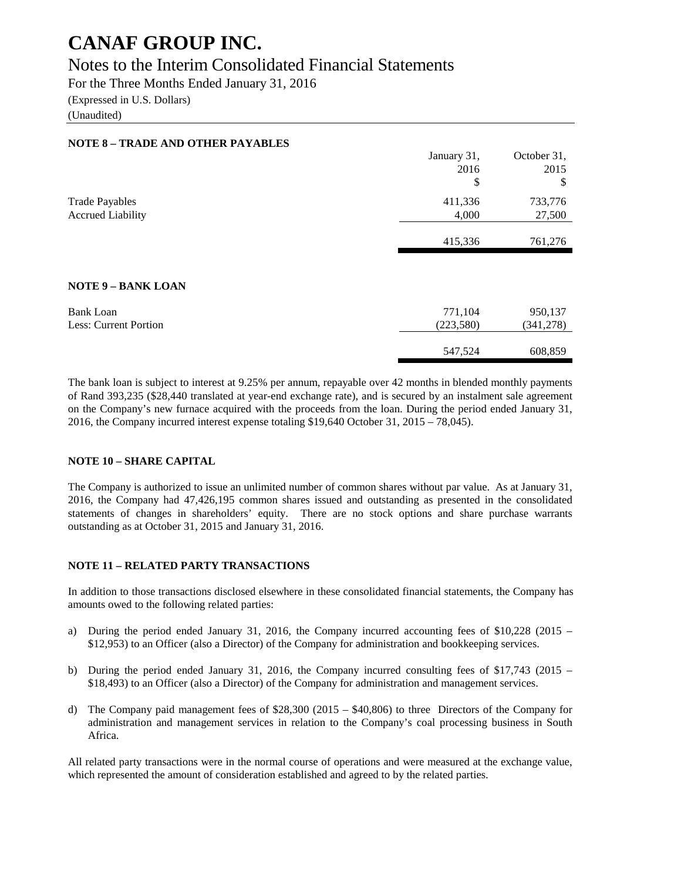### Notes to the Interim Consolidated Financial Statements

For the Three Months Ended January 31, 2016

(Expressed in U.S. Dollars)

(Unaudited)

| <b>NOTE 8 - TRADE AND OTHER PAYABLES</b> |             |             |
|------------------------------------------|-------------|-------------|
|                                          | January 31, | October 31, |
|                                          | 2016        | 2015        |
|                                          | \$          | \$          |
| <b>Trade Payables</b>                    | 411,336     | 733,776     |
| <b>Accrued Liability</b>                 | 4,000       | 27,500      |
|                                          |             |             |
|                                          | 415,336     | 761,276     |
|                                          |             |             |
| <b>NOTE 9 - BANK LOAN</b>                |             |             |
| <b>Bank Loan</b>                         | 771,104     | 950,137     |
| Less: Current Portion                    | (223, 580)  | (341, 278)  |
|                                          |             |             |
|                                          | 547,524     | 608,859     |
|                                          |             |             |

The bank loan is subject to interest at 9.25% per annum, repayable over 42 months in blended monthly payments of Rand 393,235 (\$28,440 translated at year-end exchange rate), and is secured by an instalment sale agreement on the Company's new furnace acquired with the proceeds from the loan. During the period ended January 31, 2016, the Company incurred interest expense totaling \$19,640 October 31, 2015 – 78,045).

#### **NOTE 10 – SHARE CAPITAL**

The Company is authorized to issue an unlimited number of common shares without par value. As at January 31, 2016, the Company had 47,426,195 common shares issued and outstanding as presented in the consolidated statements of changes in shareholders' equity. There are no stock options and share purchase warrants outstanding as at October 31, 2015 and January 31, 2016.

#### **NOTE 11 – RELATED PARTY TRANSACTIONS**

In addition to those transactions disclosed elsewhere in these consolidated financial statements, the Company has amounts owed to the following related parties:

- a) During the period ended January 31, 2016, the Company incurred accounting fees of \$10,228 (2015 \$12,953) to an Officer (also a Director) of the Company for administration and bookkeeping services.
- b) During the period ended January 31, 2016, the Company incurred consulting fees of \$17,743 (2015 \$18,493) to an Officer (also a Director) of the Company for administration and management services.
- d) The Company paid management fees of \$28,300 (2015 \$40,806) to three Directors of the Company for administration and management services in relation to the Company's coal processing business in South Africa.

All related party transactions were in the normal course of operations and were measured at the exchange value, which represented the amount of consideration established and agreed to by the related parties.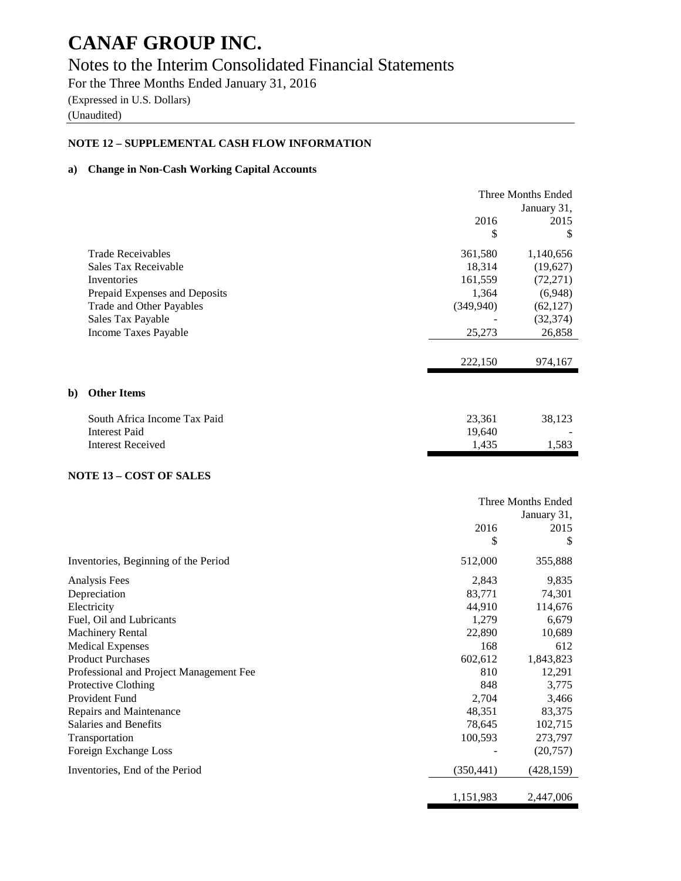### Notes to the Interim Consolidated Financial Statements

For the Three Months Ended January 31, 2016

(Expressed in U.S. Dollars) (Unaudited)

### **NOTE 12 – SUPPLEMENTAL CASH FLOW INFORMATION**

#### **a) Change in Non-Cash Working Capital Accounts**

|              |                               |            | Three Months Ended |  |
|--------------|-------------------------------|------------|--------------------|--|
|              |                               |            | January 31,        |  |
|              |                               | 2016       | 2015               |  |
|              |                               | \$         | \$                 |  |
|              | <b>Trade Receivables</b>      | 361,580    | 1,140,656          |  |
|              | Sales Tax Receivable          | 18,314     | (19,627)           |  |
|              | Inventories                   | 161,559    | (72,271)           |  |
|              | Prepaid Expenses and Deposits | 1,364      | (6,948)            |  |
|              | Trade and Other Payables      | (349, 940) | (62, 127)          |  |
|              | Sales Tax Payable             |            | (32, 374)          |  |
|              | Income Taxes Payable          | 25,273     | 26,858             |  |
|              |                               |            |                    |  |
|              |                               | 222,150    | 974,167            |  |
|              |                               |            |                    |  |
| $\mathbf{b}$ | <b>Other Items</b>            |            |                    |  |
|              | South Africa Income Tax Paid  | 23,361     | 38,123             |  |
|              | <b>Interest Paid</b>          | 19,640     |                    |  |
|              | <b>Interest Received</b>      | 1,435      | 1,583              |  |
|              |                               |            |                    |  |

#### **NOTE 13 – COST OF SALES**

|                                         | Three Months Ended |             |  |
|-----------------------------------------|--------------------|-------------|--|
|                                         |                    | January 31, |  |
|                                         | 2016               | 2015        |  |
|                                         | \$                 | S           |  |
| Inventories, Beginning of the Period    | 512,000            | 355,888     |  |
| Analysis Fees                           | 2,843              | 9,835       |  |
| Depreciation                            | 83,771             | 74,301      |  |
| Electricity                             | 44,910             | 114,676     |  |
| Fuel, Oil and Lubricants                | 1,279              | 6,679       |  |
| <b>Machinery Rental</b>                 | 22,890             | 10,689      |  |
| <b>Medical Expenses</b>                 | 168                | 612         |  |
| <b>Product Purchases</b>                | 602,612            | 1,843,823   |  |
| Professional and Project Management Fee | 810                | 12,291      |  |
| Protective Clothing                     | 848                | 3,775       |  |
| Provident Fund                          | 2,704              | 3,466       |  |
| Repairs and Maintenance                 | 48,351             | 83,375      |  |
| Salaries and Benefits                   | 78,645             | 102,715     |  |
| Transportation                          | 100,593            | 273,797     |  |
| Foreign Exchange Loss                   |                    | (20, 757)   |  |
| Inventories, End of the Period          | (350, 441)         | (428, 159)  |  |
|                                         | 1,151,983          | 2,447,006   |  |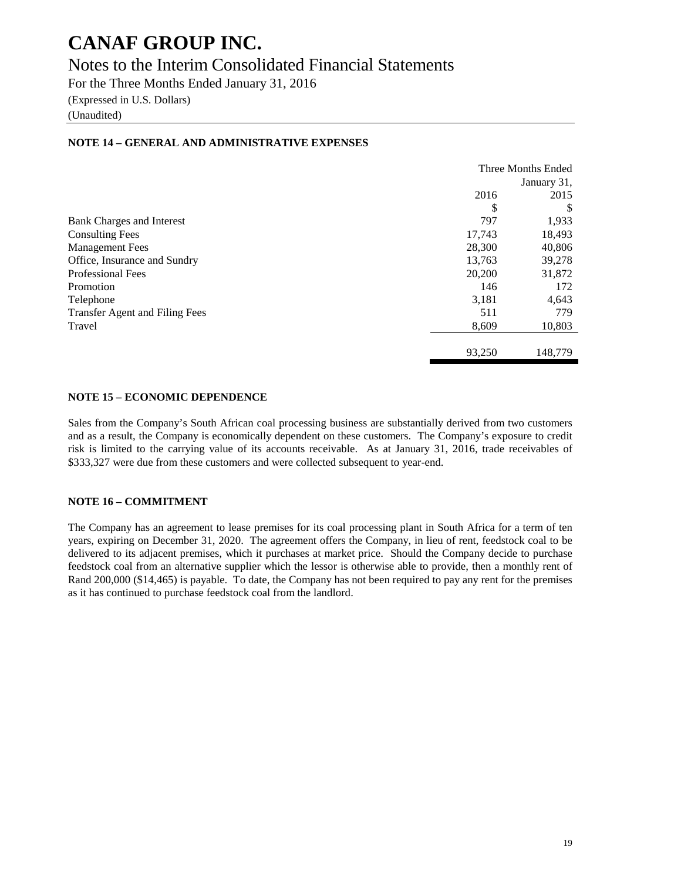### Notes to the Interim Consolidated Financial Statements

For the Three Months Ended January 31, 2016

(Expressed in U.S. Dollars)

(Unaudited)

|                                       | Three Months Ended |             |  |
|---------------------------------------|--------------------|-------------|--|
|                                       |                    | January 31, |  |
|                                       | 2016               | 2015        |  |
|                                       | \$                 | \$          |  |
| <b>Bank Charges and Interest</b>      | 797                | 1,933       |  |
| <b>Consulting Fees</b>                | 17,743             | 18,493      |  |
| <b>Management Fees</b>                | 28,300             | 40,806      |  |
| Office, Insurance and Sundry          | 13,763             | 39,278      |  |
| <b>Professional Fees</b>              | 20,200             | 31,872      |  |
| Promotion                             | 146                | 172         |  |
| Telephone                             | 3,181              | 4,643       |  |
| <b>Transfer Agent and Filing Fees</b> | 511                | 779         |  |
| Travel                                | 8,609              | 10,803      |  |
|                                       | 93,250             | 148,779     |  |

#### **NOTE 14 – GENERAL AND ADMINISTRATIVE EXPENSES**

#### **NOTE 15 – ECONOMIC DEPENDENCE**

Sales from the Company's South African coal processing business are substantially derived from two customers and as a result, the Company is economically dependent on these customers. The Company's exposure to credit risk is limited to the carrying value of its accounts receivable. As at January 31, 2016, trade receivables of \$333,327 were due from these customers and were collected subsequent to year-end.

#### **NOTE 16 – COMMITMENT**

The Company has an agreement to lease premises for its coal processing plant in South Africa for a term of ten years, expiring on December 31, 2020. The agreement offers the Company, in lieu of rent, feedstock coal to be delivered to its adjacent premises, which it purchases at market price. Should the Company decide to purchase feedstock coal from an alternative supplier which the lessor is otherwise able to provide, then a monthly rent of Rand 200,000 (\$14,465) is payable. To date, the Company has not been required to pay any rent for the premises as it has continued to purchase feedstock coal from the landlord.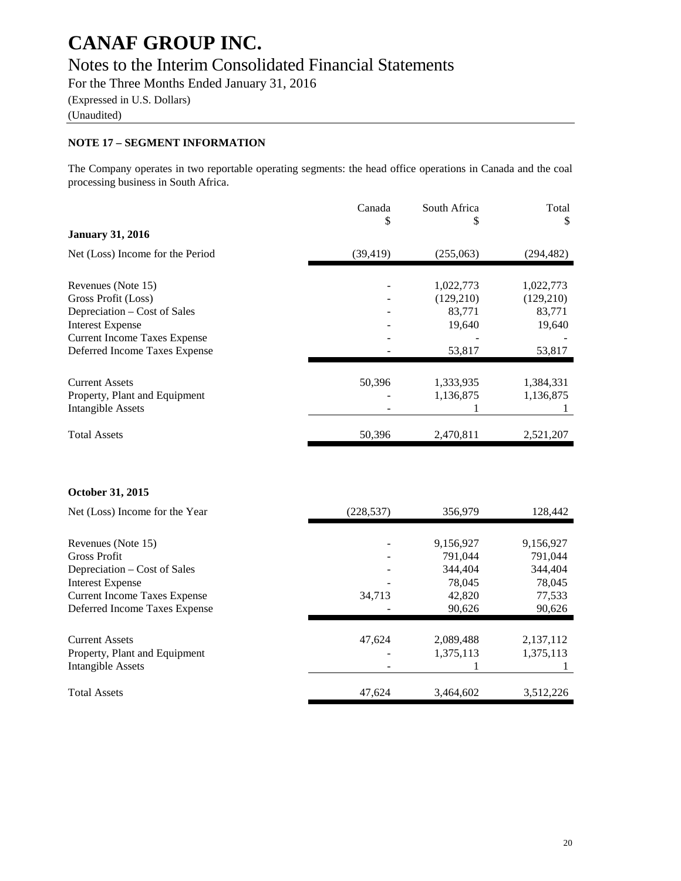### Notes to the Interim Consolidated Financial Statements

For the Three Months Ended January 31, 2016

(Expressed in U.S. Dollars)

(Unaudited)

#### **NOTE 17 – SEGMENT INFORMATION**

The Company operates in two reportable operating segments: the head office operations in Canada and the coal processing business in South Africa.

|                                     | Canada    | South Africa | Total      |
|-------------------------------------|-----------|--------------|------------|
|                                     | \$        | S            | S          |
| <b>January 31, 2016</b>             |           |              |            |
| Net (Loss) Income for the Period    | (39, 419) | (255,063)    | (294,482)  |
| Revenues (Note 15)                  |           | 1,022,773    | 1,022,773  |
| Gross Profit (Loss)                 |           | (129,210)    | (129, 210) |
| Depreciation – Cost of Sales        |           | 83,771       | 83,771     |
| <b>Interest Expense</b>             |           | 19,640       | 19,640     |
| <b>Current Income Taxes Expense</b> |           |              |            |
| Deferred Income Taxes Expense       |           | 53,817       | 53,817     |
|                                     |           |              |            |
| <b>Current Assets</b>               | 50,396    | 1,333,935    | 1,384,331  |
| Property, Plant and Equipment       |           | 1,136,875    | 1,136,875  |
| <b>Intangible Assets</b>            |           |              |            |
| <b>Total Assets</b>                 | 50,396    | 2,470,811    | 2,521,207  |

#### **October 31, 2015**

| Net (Loss) Income for the Year      | (228, 537) | 356,979   | 128,442   |
|-------------------------------------|------------|-----------|-----------|
|                                     |            |           |           |
| Revenues (Note 15)                  |            | 9,156,927 | 9,156,927 |
| <b>Gross Profit</b>                 |            | 791.044   | 791.044   |
| Depreciation – Cost of Sales        |            | 344,404   | 344,404   |
| <b>Interest Expense</b>             |            | 78,045    | 78,045    |
| <b>Current Income Taxes Expense</b> | 34.713     | 42,820    | 77,533    |
| Deferred Income Taxes Expense       |            | 90,626    | 90,626    |
| <b>Current Assets</b>               | 47.624     | 2,089,488 | 2,137,112 |
| Property, Plant and Equipment       |            | 1,375,113 | 1,375,113 |
| Intangible Assets                   |            |           |           |
| <b>Total Assets</b>                 | 47.624     | 3,464,602 | 3.512.226 |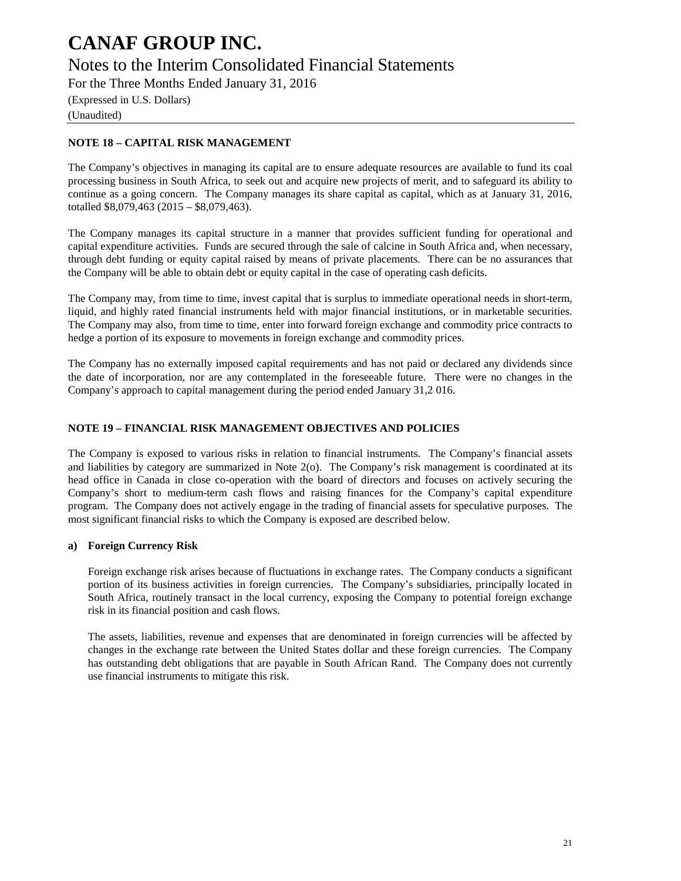Notes to the Interim Consolidated Financial Statements

For the Three Months Ended January 31, 2016

(Expressed in U.S. Dollars)

(Unaudited)

#### **NOTE 18 – CAPITAL RISK MANAGEMENT**

The Company's objectives in managing its capital are to ensure adequate resources are available to fund its coal processing business in South Africa, to seek out and acquire new projects of merit, and to safeguard its ability to continue as a going concern. The Company manages its share capital as capital, which as at January 31, 2016, totalled \$8,079,463 (2015 – \$8,079,463).

The Company manages its capital structure in a manner that provides sufficient funding for operational and capital expenditure activities. Funds are secured through the sale of calcine in South Africa and, when necessary, through debt funding or equity capital raised by means of private placements. There can be no assurances that the Company will be able to obtain debt or equity capital in the case of operating cash deficits.

The Company may, from time to time, invest capital that is surplus to immediate operational needs in short-term, liquid, and highly rated financial instruments held with major financial institutions, or in marketable securities. The Company may also, from time to time, enter into forward foreign exchange and commodity price contracts to hedge a portion of its exposure to movements in foreign exchange and commodity prices.

The Company has no externally imposed capital requirements and has not paid or declared any dividends since the date of incorporation, nor are any contemplated in the foreseeable future. There were no changes in the Company's approach to capital management during the period ended January 31,2 016.

#### **NOTE 19 – FINANCIAL RISK MANAGEMENT OBJECTIVES AND POLICIES**

The Company is exposed to various risks in relation to financial instruments. The Company's financial assets and liabilities by category are summarized in Note 2(o). The Company's risk management is coordinated at its head office in Canada in close co-operation with the board of directors and focuses on actively securing the Company's short to medium-term cash flows and raising finances for the Company's capital expenditure program. The Company does not actively engage in the trading of financial assets for speculative purposes. The most significant financial risks to which the Company is exposed are described below.

#### **a) Foreign Currency Risk**

Foreign exchange risk arises because of fluctuations in exchange rates. The Company conducts a significant portion of its business activities in foreign currencies. The Company's subsidiaries, principally located in South Africa, routinely transact in the local currency, exposing the Company to potential foreign exchange risk in its financial position and cash flows.

The assets, liabilities, revenue and expenses that are denominated in foreign currencies will be affected by changes in the exchange rate between the United States dollar and these foreign currencies. The Company has outstanding debt obligations that are payable in South African Rand. The Company does not currently use financial instruments to mitigate this risk.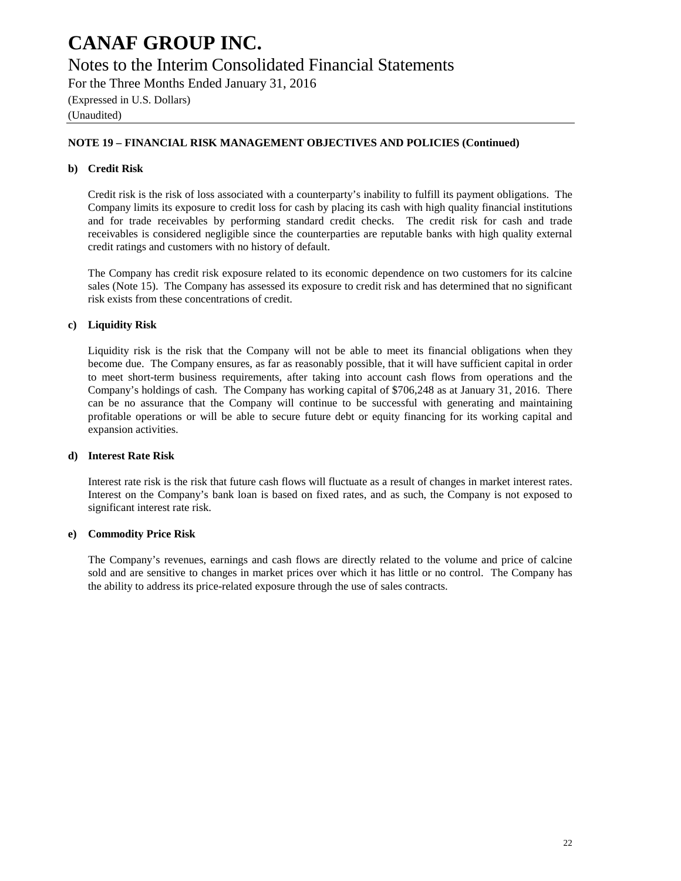### Notes to the Interim Consolidated Financial Statements

For the Three Months Ended January 31, 2016

(Expressed in U.S. Dollars)

(Unaudited)

#### **NOTE 19 – FINANCIAL RISK MANAGEMENT OBJECTIVES AND POLICIES (Continued)**

#### **b) Credit Risk**

Credit risk is the risk of loss associated with a counterparty's inability to fulfill its payment obligations. The Company limits its exposure to credit loss for cash by placing its cash with high quality financial institutions and for trade receivables by performing standard credit checks. The credit risk for cash and trade receivables is considered negligible since the counterparties are reputable banks with high quality external credit ratings and customers with no history of default.

The Company has credit risk exposure related to its economic dependence on two customers for its calcine sales (Note 15). The Company has assessed its exposure to credit risk and has determined that no significant risk exists from these concentrations of credit.

#### **c) Liquidity Risk**

Liquidity risk is the risk that the Company will not be able to meet its financial obligations when they become due. The Company ensures, as far as reasonably possible, that it will have sufficient capital in order to meet short-term business requirements, after taking into account cash flows from operations and the Company's holdings of cash. The Company has working capital of \$706,248 as at January 31, 2016. There can be no assurance that the Company will continue to be successful with generating and maintaining profitable operations or will be able to secure future debt or equity financing for its working capital and expansion activities.

#### **d) Interest Rate Risk**

Interest rate risk is the risk that future cash flows will fluctuate as a result of changes in market interest rates. Interest on the Company's bank loan is based on fixed rates, and as such, the Company is not exposed to significant interest rate risk.

#### **e) Commodity Price Risk**

The Company's revenues, earnings and cash flows are directly related to the volume and price of calcine sold and are sensitive to changes in market prices over which it has little or no control. The Company has the ability to address its price-related exposure through the use of sales contracts.